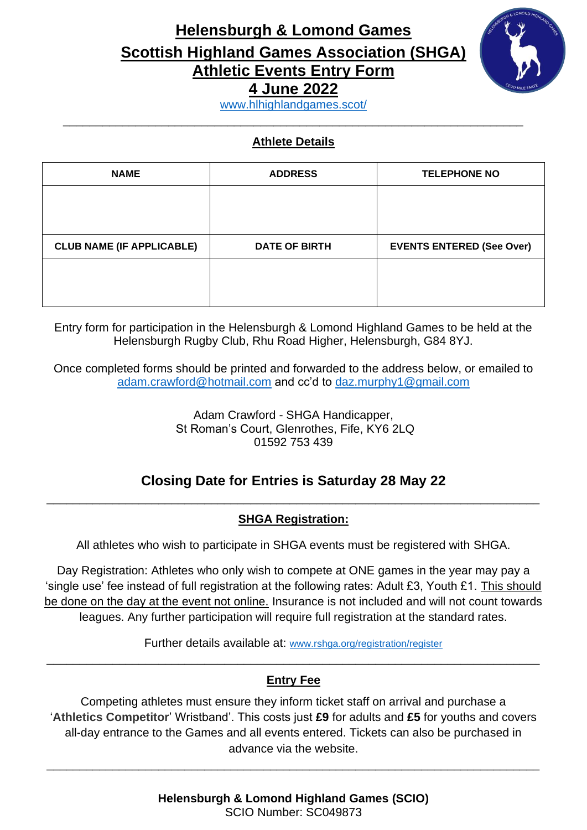## **Helensburgh & Lomond Games Scottish Highland Games Association (SHGA) Athletic Events Entry Form 4 June 2022**



[www.hlhighlandgames.scot/](https://www.hlhighlandgames.scot/) \_\_\_\_\_\_\_\_\_\_\_\_\_\_\_\_\_\_\_\_\_\_\_\_\_\_\_\_\_\_\_\_\_\_\_\_\_\_\_\_\_\_\_\_\_\_\_\_\_\_\_\_\_\_\_\_\_\_\_\_\_\_\_\_\_\_\_\_\_\_

#### **Athlete Details**

| <b>NAME</b>                      | <b>ADDRESS</b>       | <b>TELEPHONE NO</b>              |
|----------------------------------|----------------------|----------------------------------|
|                                  |                      |                                  |
|                                  |                      |                                  |
| <b>CLUB NAME (IF APPLICABLE)</b> | <b>DATE OF BIRTH</b> | <b>EVENTS ENTERED (See Over)</b> |
|                                  |                      |                                  |
|                                  |                      |                                  |

Entry form for participation in the Helensburgh & Lomond Highland Games to be held at the Helensburgh Rugby Club, Rhu Road Higher, Helensburgh, G84 8YJ.

Once completed forms should be printed and forwarded to the address below, or emailed to [adam.crawford@hotmail.com](mailto:adam.crawford@hotmail.com) and cc'd to [daz.murphy1@gmail.com](mailto:daz.murphy1@gmail.com)

> Adam Crawford - SHGA Handicapper, St Roman's Court, Glenrothes, Fife, KY6 2LQ 01592 753 439

#### **Closing Date for Entries is Saturday 28 May 22**  \_\_\_\_\_\_\_\_\_\_\_\_\_\_\_\_\_\_\_\_\_\_\_\_\_\_\_\_\_\_\_\_\_\_\_\_\_\_\_\_\_\_\_\_\_\_\_\_\_\_\_\_\_\_\_\_\_\_\_\_\_\_\_\_\_\_\_\_\_\_\_\_\_\_\_

#### **SHGA Registration:**

All athletes who wish to participate in SHGA events must be registered with SHGA.

Day Registration: Athletes who only wish to compete at ONE games in the year may pay a 'single use' fee instead of full registration at the following rates: Adult £3, Youth £1. This should be done on the day at the event not online. Insurance is not included and will not count towards leagues. Any further participation will require full registration at the standard rates.

Further details available at: [www.rshga.org/registration/register](https://www.rshga.org/registration/register) \_\_\_\_\_\_\_\_\_\_\_\_\_\_\_\_\_\_\_\_\_\_\_\_\_\_\_\_\_\_\_\_\_\_\_\_\_\_\_\_\_\_\_\_\_\_\_\_\_\_\_\_\_\_\_\_\_\_\_\_\_\_\_\_\_\_\_\_\_\_\_\_\_\_\_

#### **Entry Fee**

Competing athletes must ensure they inform ticket staff on arrival and purchase a '**Athletics Competitor**' Wristband'. This costs just **£9** for adults and **£5** for youths and covers all-day entrance to the Games and all events entered. Tickets can also be purchased in advance via the website.

\_\_\_\_\_\_\_\_\_\_\_\_\_\_\_\_\_\_\_\_\_\_\_\_\_\_\_\_\_\_\_\_\_\_\_\_\_\_\_\_\_\_\_\_\_\_\_\_\_\_\_\_\_\_\_\_\_\_\_\_\_\_\_\_\_\_\_\_\_\_\_\_\_\_\_